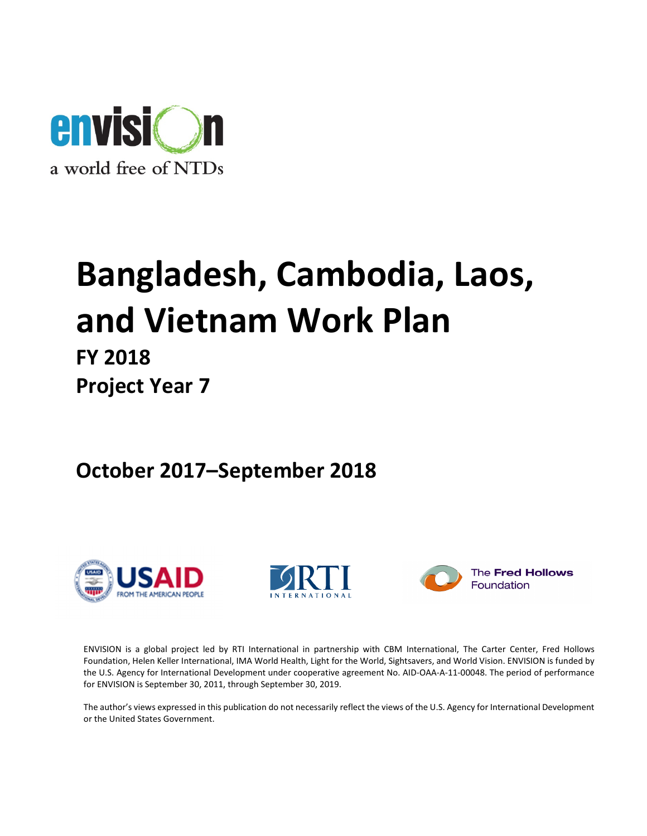

# Bangladesh, Cambodia, Laos, and Vietnam Work Plan

## FY 2018 Project Year 7

October 2017–September 2018







The Fred Hollows Foundation

ENVISION is a global project led by RTI International in partnership with CBM International, The Carter Center, Fred Hollows Foundation, Helen Keller International, IMA World Health, Light for the World, Sightsavers, and World Vision. ENVISION is funded by the U.S. Agency for International Development under cooperative agreement No. AID-OAA-A-11-00048. The period of performance for ENVISION is September 30, 2011, through September 30, 2019.

The author's views expressed in this publication do not necessarily reflect the views of the U.S. Agency for International Development or the United States Government.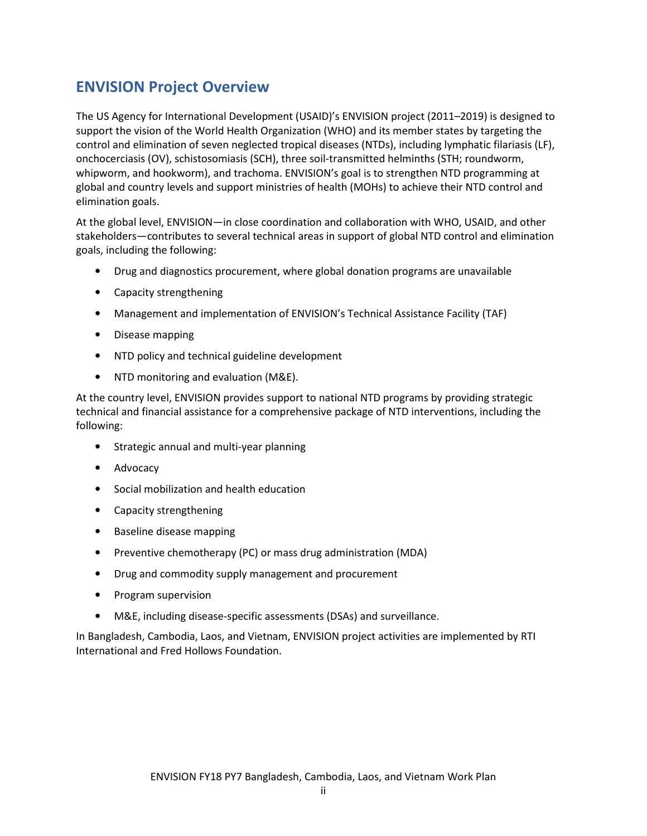## ENVISION Project Overview

The US Agency for International Development (USAID)'s ENVISION project (2011–2019) is designed to support the vision of the World Health Organization (WHO) and its member states by targeting the control and elimination of seven neglected tropical diseases (NTDs), including lymphatic filariasis (LF), onchocerciasis (OV), schistosomiasis (SCH), three soil-transmitted helminths (STH; roundworm, whipworm, and hookworm), and trachoma. ENVISION's goal is to strengthen NTD programming at global and country levels and support ministries of health (MOHs) to achieve their NTD control and elimination goals.

At the global level, ENVISION—in close coordination and collaboration with WHO, USAID, and other stakeholders—contributes to several technical areas in support of global NTD control and elimination goals, including the following:

- Drug and diagnostics procurement, where global donation programs are unavailable
- Capacity strengthening
- Management and implementation of ENVISION's Technical Assistance Facility (TAF)
- Disease mapping
- NTD policy and technical guideline development
- NTD monitoring and evaluation (M&E).

At the country level, ENVISION provides support to national NTD programs by providing strategic technical and financial assistance for a comprehensive package of NTD interventions, including the following:

- Strategic annual and multi-year planning
- Advocacy
- Social mobilization and health education
- Capacity strengthening
- Baseline disease mapping
- Preventive chemotherapy (PC) or mass drug administration (MDA)
- Drug and commodity supply management and procurement
- Program supervision
- M&E, including disease-specific assessments (DSAs) and surveillance.

In Bangladesh, Cambodia, Laos, and Vietnam, ENVISION project activities are implemented by RTI International and Fred Hollows Foundation.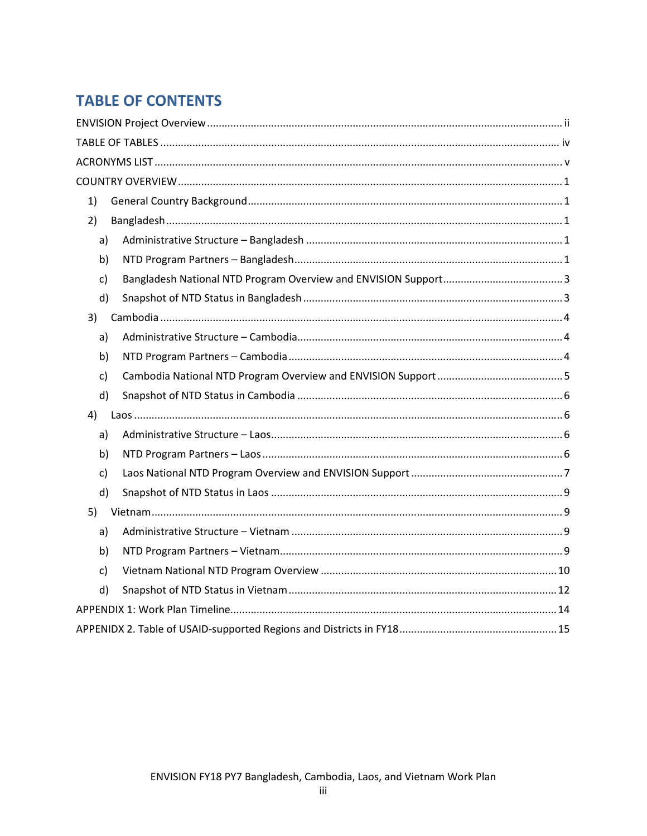## **TABLE OF CONTENTS**

| 1) |  |  |  |  |  |  |  |  |
|----|--|--|--|--|--|--|--|--|
| 2) |  |  |  |  |  |  |  |  |
| a) |  |  |  |  |  |  |  |  |
| b) |  |  |  |  |  |  |  |  |
| c) |  |  |  |  |  |  |  |  |
| d) |  |  |  |  |  |  |  |  |
| 3) |  |  |  |  |  |  |  |  |
| a) |  |  |  |  |  |  |  |  |
| b) |  |  |  |  |  |  |  |  |
| c) |  |  |  |  |  |  |  |  |
| d) |  |  |  |  |  |  |  |  |
| 4) |  |  |  |  |  |  |  |  |
| a) |  |  |  |  |  |  |  |  |
| b) |  |  |  |  |  |  |  |  |
| c) |  |  |  |  |  |  |  |  |
| d) |  |  |  |  |  |  |  |  |
| 5) |  |  |  |  |  |  |  |  |
| a) |  |  |  |  |  |  |  |  |
| b) |  |  |  |  |  |  |  |  |
| c) |  |  |  |  |  |  |  |  |
| d) |  |  |  |  |  |  |  |  |
|    |  |  |  |  |  |  |  |  |
|    |  |  |  |  |  |  |  |  |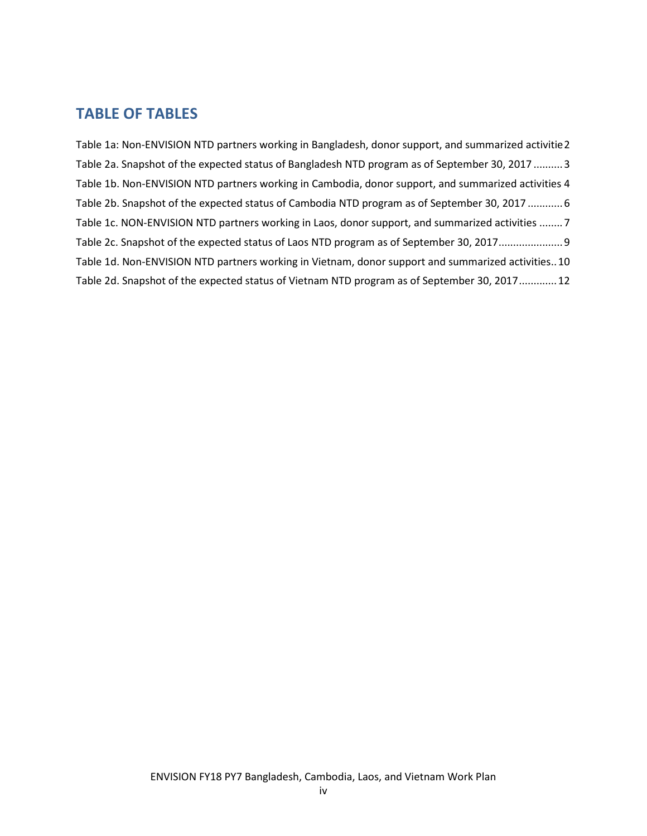## TABLE OF TABLES

Table 1a: Non-ENVISION NTD partners working in Bangladesh, donor support, and summarized activitie 2 Table 2a. Snapshot of the expected status of Bangladesh NTD program as of September 30, 2017 .......... 3 Table 1b. Non-ENVISION NTD partners working in Cambodia, donor support, and summarized activities 4 Table 2b. Snapshot of the expected status of Cambodia NTD program as of September 30, 2017 ............ 6 Table 1c. NON-ENVISION NTD partners working in Laos, donor support, and summarized activities ........ 7 Table 2c. Snapshot of the expected status of Laos NTD program as of September 30, 2017 ...................... 9 Table 1d. Non-ENVISION NTD partners working in Vietnam, donor support and summarized activities.. 10 Table 2d. Snapshot of the expected status of Vietnam NTD program as of September 30, 2017 ............. 12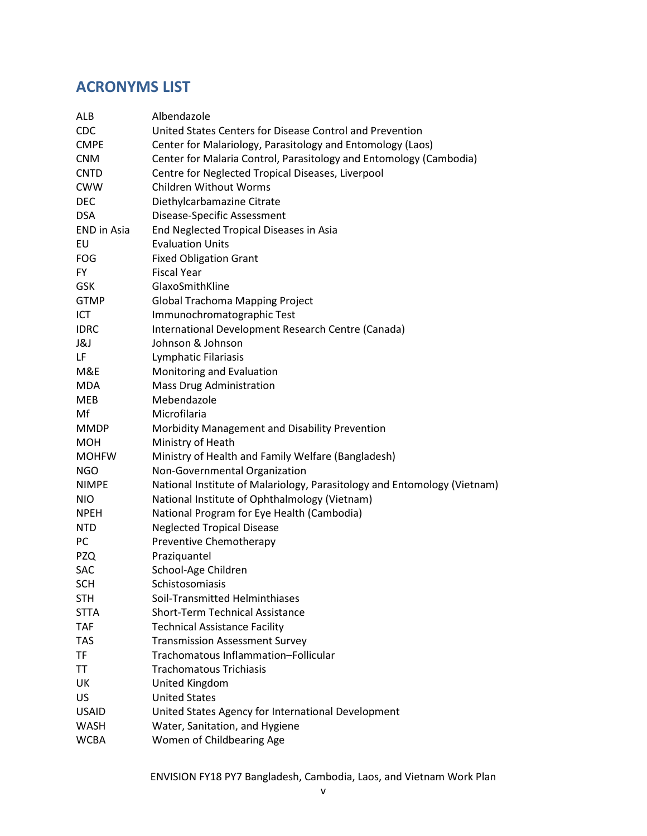## ACRONYMS LIST

| ALB                | Albendazole                                                              |
|--------------------|--------------------------------------------------------------------------|
| CDC                | United States Centers for Disease Control and Prevention                 |
| <b>CMPE</b>        | Center for Malariology, Parasitology and Entomology (Laos)               |
| <b>CNM</b>         | Center for Malaria Control, Parasitology and Entomology (Cambodia)       |
| <b>CNTD</b>        | Centre for Neglected Tropical Diseases, Liverpool                        |
| <b>CWW</b>         | <b>Children Without Worms</b>                                            |
| <b>DEC</b>         | Diethylcarbamazine Citrate                                               |
| <b>DSA</b>         | Disease-Specific Assessment                                              |
| <b>END</b> in Asia | End Neglected Tropical Diseases in Asia                                  |
| EU                 | <b>Evaluation Units</b>                                                  |
| <b>FOG</b>         | <b>Fixed Obligation Grant</b>                                            |
| <b>FY</b>          | <b>Fiscal Year</b>                                                       |
| <b>GSK</b>         | GlaxoSmithKline                                                          |
| <b>GTMP</b>        | Global Trachoma Mapping Project                                          |
| ICT                | Immunochromatographic Test                                               |
| <b>IDRC</b>        | International Development Research Centre (Canada)                       |
| J&J                | Johnson & Johnson                                                        |
| LF                 | Lymphatic Filariasis                                                     |
| M&E                | Monitoring and Evaluation                                                |
| <b>MDA</b>         | <b>Mass Drug Administration</b>                                          |
| MEB                | Mebendazole                                                              |
| Mf                 | Microfilaria                                                             |
| <b>MMDP</b>        | Morbidity Management and Disability Prevention                           |
| <b>MOH</b>         | Ministry of Heath                                                        |
| <b>MOHFW</b>       | Ministry of Health and Family Welfare (Bangladesh)                       |
| <b>NGO</b>         | Non-Governmental Organization                                            |
| <b>NIMPE</b>       | National Institute of Malariology, Parasitology and Entomology (Vietnam) |
| <b>NIO</b>         | National Institute of Ophthalmology (Vietnam)                            |
| <b>NPEH</b>        | National Program for Eye Health (Cambodia)                               |
| <b>NTD</b>         | <b>Neglected Tropical Disease</b>                                        |
| PC                 | Preventive Chemotherapy                                                  |
| <b>PZQ</b>         | Praziquantel                                                             |
| SAC                | School-Age Children                                                      |
| <b>SCH</b>         | Schistosomiasis                                                          |
| <b>STH</b>         | Soil-Transmitted Helminthiases                                           |
| <b>STTA</b>        | <b>Short-Term Technical Assistance</b>                                   |
| <b>TAF</b>         | <b>Technical Assistance Facility</b>                                     |
| <b>TAS</b>         | <b>Transmission Assessment Survey</b>                                    |
| <b>TF</b>          | Trachomatous Inflammation-Follicular                                     |
| TT                 | <b>Trachomatous Trichiasis</b>                                           |
| UK                 | United Kingdom                                                           |
| <b>US</b>          | <b>United States</b>                                                     |
| <b>USAID</b>       | United States Agency for International Development                       |
| <b>WASH</b>        | Water, Sanitation, and Hygiene                                           |
| <b>WCBA</b>        | Women of Childbearing Age                                                |
|                    |                                                                          |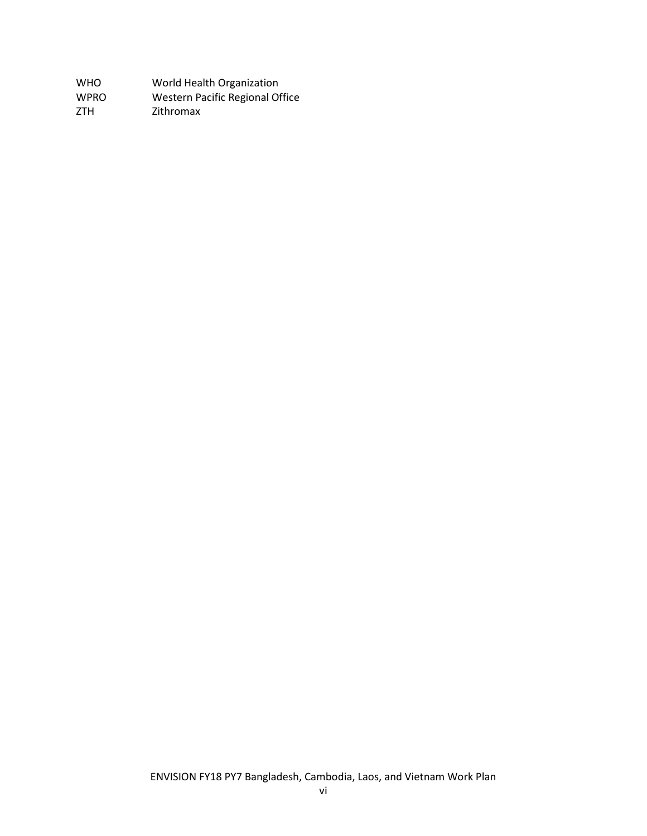| <b>WHO</b>  | World Health Organization       |
|-------------|---------------------------------|
| <b>WPRO</b> | Western Pacific Regional Office |
| ZTH.        | Zithromax                       |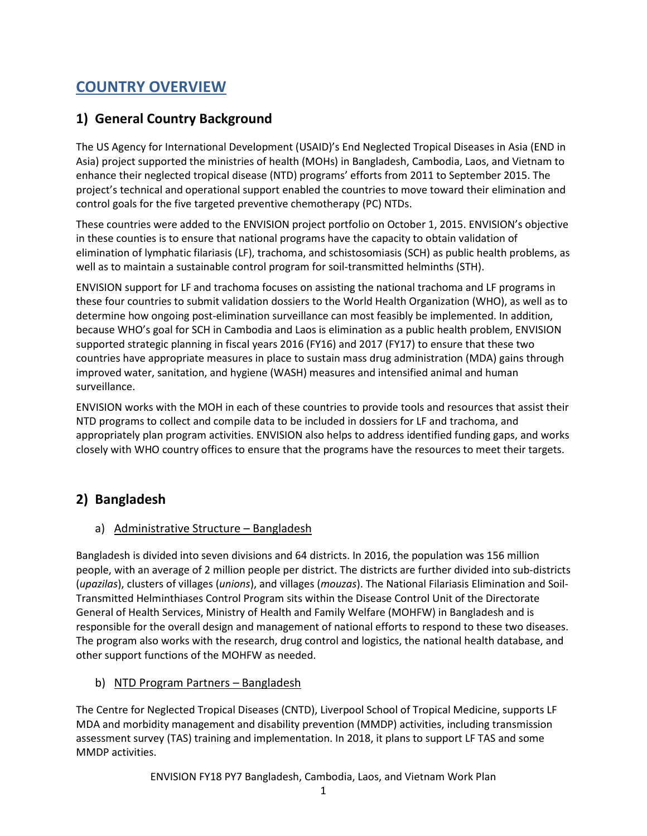## COUNTRY OVERVIEW

## 1) General Country Background

The US Agency for International Development (USAID)'s End Neglected Tropical Diseases in Asia (END in Asia) project supported the ministries of health (MOHs) in Bangladesh, Cambodia, Laos, and Vietnam to enhance their neglected tropical disease (NTD) programs' efforts from 2011 to September 2015. The project's technical and operational support enabled the countries to move toward their elimination and control goals for the five targeted preventive chemotherapy (PC) NTDs.

These countries were added to the ENVISION project portfolio on October 1, 2015. ENVISION's objective in these counties is to ensure that national programs have the capacity to obtain validation of elimination of lymphatic filariasis (LF), trachoma, and schistosomiasis (SCH) as public health problems, as well as to maintain a sustainable control program for soil-transmitted helminths (STH).

ENVISION support for LF and trachoma focuses on assisting the national trachoma and LF programs in these four countries to submit validation dossiers to the World Health Organization (WHO), as well as to determine how ongoing post-elimination surveillance can most feasibly be implemented. In addition, because WHO's goal for SCH in Cambodia and Laos is elimination as a public health problem, ENVISION supported strategic planning in fiscal years 2016 (FY16) and 2017 (FY17) to ensure that these two countries have appropriate measures in place to sustain mass drug administration (MDA) gains through improved water, sanitation, and hygiene (WASH) measures and intensified animal and human surveillance.

ENVISION works with the MOH in each of these countries to provide tools and resources that assist their NTD programs to collect and compile data to be included in dossiers for LF and trachoma, and appropriately plan program activities. ENVISION also helps to address identified funding gaps, and works closely with WHO country offices to ensure that the programs have the resources to meet their targets.

## 2) Bangladesh

## a) Administrative Structure – Bangladesh

Bangladesh is divided into seven divisions and 64 districts. In 2016, the population was 156 million people, with an average of 2 million people per district. The districts are further divided into sub-districts (upazilas), clusters of villages (unions), and villages (mouzas). The National Filariasis Elimination and Soil-Transmitted Helminthiases Control Program sits within the Disease Control Unit of the Directorate General of Health Services, Ministry of Health and Family Welfare (MOHFW) in Bangladesh and is responsible for the overall design and management of national efforts to respond to these two diseases. The program also works with the research, drug control and logistics, the national health database, and other support functions of the MOHFW as needed.

## b) NTD Program Partners – Bangladesh

The Centre for Neglected Tropical Diseases (CNTD), Liverpool School of Tropical Medicine, supports LF MDA and morbidity management and disability prevention (MMDP) activities, including transmission assessment survey (TAS) training and implementation. In 2018, it plans to support LF TAS and some MMDP activities.

ENVISION FY18 PY7 Bangladesh, Cambodia, Laos, and Vietnam Work Plan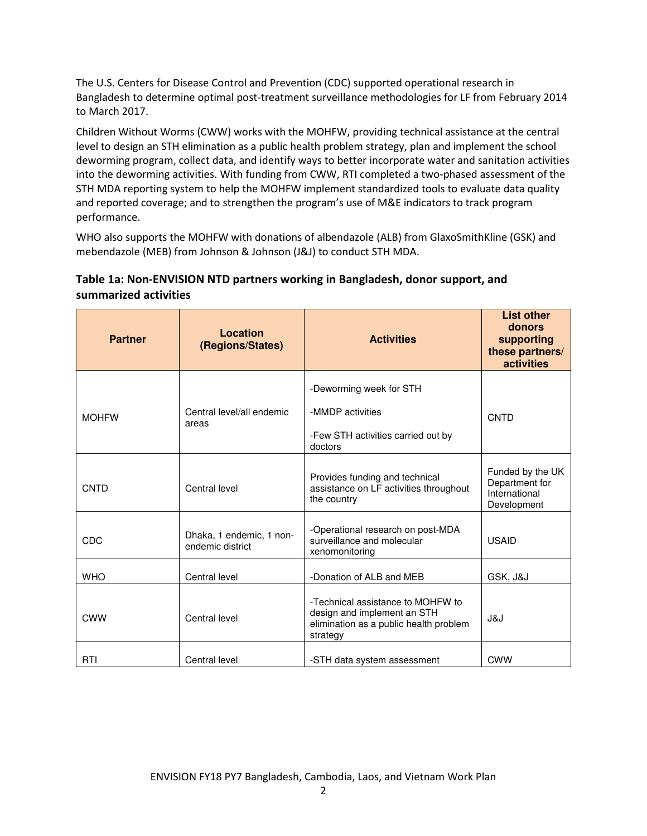The U.S. Centers for Disease Control and Prevention (CDC) supported operational research in Bangladesh to determine optimal post-treatment surveillance methodologies for LF from February 2014 to March 2017.

Children Without Worms (CWW) works with the MOHFW, providing technical assistance at the central level to design an STH elimination as a public health problem strategy, plan and implement the school deworming program, collect data, and identify ways to better incorporate water and sanitation activities into the deworming activities. With funding from CWW, RTI completed a two-phased assessment of the STH MDA reporting system to help the MOHFW implement standardized tools to evaluate data quality and reported coverage; and to strengthen the program's use of M&E indicators to track program performance.

WHO also supports the MOHFW with donations of albendazole (ALB) from GlaxoSmithKline (GSK) and mebendazole (MEB) from Johnson & Johnson (J&J) to conduct STH MDA.

## Table 1a: Non-ENVISION NTD partners working in Bangladesh, donor support, and summarized activities

| <b>Partner</b> | Location<br>(Regions/States)                 | <b>Activities</b>                                                                                                      | <b>List other</b><br>donors<br>supporting<br>these partners/<br>activities |
|----------------|----------------------------------------------|------------------------------------------------------------------------------------------------------------------------|----------------------------------------------------------------------------|
| <b>MOHFW</b>   | Central level/all endemic<br>areas           | -Deworming week for STH<br>-MMDP activities<br>-Few STH activities carried out by<br>doctors                           | CNTD                                                                       |
| <b>CNTD</b>    | Central level                                | Provides funding and technical<br>assistance on LF activities throughout<br>the country                                | Funded by the UK<br>Department for<br>International<br>Development         |
| CDC            | Dhaka, 1 endemic, 1 non-<br>endemic district | -Operational research on post-MDA<br>surveillance and molecular<br>xenomonitoring                                      | <b>USAID</b>                                                               |
| <b>WHO</b>     | Central level                                | -Donation of ALB and MEB                                                                                               | GSK, J&J                                                                   |
| <b>CWW</b>     | Central level                                | -Technical assistance to MOHFW to<br>design and implement an STH<br>elimination as a public health problem<br>strategy | J&J                                                                        |
| RTI            | Central level                                | -STH data system assessment                                                                                            | <b>CWW</b>                                                                 |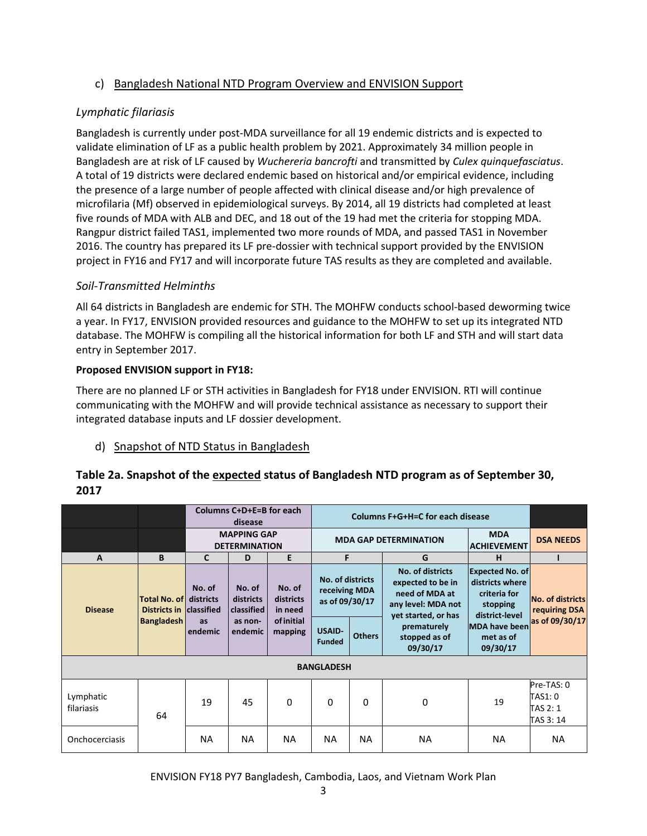## c) Bangladesh National NTD Program Overview and ENVISION Support

## Lymphatic filariasis

Bangladesh is currently under post-MDA surveillance for all 19 endemic districts and is expected to validate elimination of LF as a public health problem by 2021. Approximately 34 million people in Bangladesh are at risk of LF caused by Wuchereria bancrofti and transmitted by Culex quinquefasciatus. A total of 19 districts were declared endemic based on historical and/or empirical evidence, including the presence of a large number of people affected with clinical disease and/or high prevalence of microfilaria (Mf) observed in epidemiological surveys. By 2014, all 19 districts had completed at least five rounds of MDA with ALB and DEC, and 18 out of the 19 had met the criteria for stopping MDA. Rangpur district failed TAS1, implemented two more rounds of MDA, and passed TAS1 in November 2016. The country has prepared its LF pre-dossier with technical support provided by the ENVISION project in FY16 and FY17 and will incorporate future TAS results as they are completed and available.

## Soil-Transmitted Helminths

All 64 districts in Bangladesh are endemic for STH. The MOHFW conducts school-based deworming twice a year. In FY17, ENVISION provided resources and guidance to the MOHFW to set up its integrated NTD database. The MOHFW is compiling all the historical information for both LF and STH and will start data entry in September 2017.

## Proposed ENVISION support in FY18:

There are no planned LF or STH activities in Bangladesh for FY18 under ENVISION. RTI will continue communicating with the MOHFW and will provide technical assistance as necessary to support their integrated database inputs and LF dossier development.

## d) Snapshot of NTD Status in Bangladesh

## Table 2a. Snapshot of the expected status of Bangladesh NTD program as of September 30, 2017

|                         |                                                          |                                            | Columns C+D+E=B for each<br>disease |                                | Columns F+G+H=C for each disease                    |                                                                  |                                                                                                      |                                                                                         |                                                |
|-------------------------|----------------------------------------------------------|--------------------------------------------|-------------------------------------|--------------------------------|-----------------------------------------------------|------------------------------------------------------------------|------------------------------------------------------------------------------------------------------|-----------------------------------------------------------------------------------------|------------------------------------------------|
|                         |                                                          | <b>MAPPING GAP</b><br><b>DETERMINATION</b> |                                     |                                |                                                     | <b>MDA</b><br><b>MDA GAP DETERMINATION</b><br><b>ACHIEVEMENT</b> |                                                                                                      |                                                                                         |                                                |
| A                       | B                                                        | $\mathbf{C}$                               | D                                   | E                              | F                                                   |                                                                  | G                                                                                                    | н                                                                                       |                                                |
| <b>Disease</b>          | <b>Total No. of districts</b><br>Districts in classified | No. of                                     | No. of<br>districts<br>classified   | No. of<br>districts<br>in need | No. of districts<br>receiving MDA<br>as of 09/30/17 |                                                                  | No. of districts<br>expected to be in<br>need of MDA at<br>any level: MDA not<br>yet started, or has | <b>Expected No. of</b><br>districts where<br>criteria for<br>stopping<br>district-level | No. of districts<br>requiring DSA              |
|                         | <b>Bangladesh</b>                                        | <b>as</b><br>endemic                       | as non-<br>endemic                  | <b>of initial</b><br>mapping   | <b>USAID-</b><br><b>Funded</b>                      | <b>Others</b>                                                    | prematurely<br>stopped as of<br>09/30/17                                                             | <b>MDA have been</b><br>met as of<br>09/30/17                                           | as of 09/30/17                                 |
|                         |                                                          |                                            |                                     |                                | <b>BANGLADESH</b>                                   |                                                                  |                                                                                                      |                                                                                         |                                                |
| Lymphatic<br>filariasis | 64                                                       | 19                                         | 45                                  | $\Omega$                       | 0                                                   | $\Omega$                                                         | 0                                                                                                    | 19                                                                                      | Pre-TAS: 0<br>TAS1: 0<br>TAS 2: 1<br>TAS 3: 14 |
| Onchocerciasis          |                                                          | <b>NA</b>                                  | <b>NA</b>                           | <b>NA</b>                      | NA.                                                 | <b>NA</b>                                                        | <b>NA</b>                                                                                            | NA                                                                                      | NA.                                            |

## ENVISION FY18 PY7 Bangladesh, Cambodia, Laos, and Vietnam Work Plan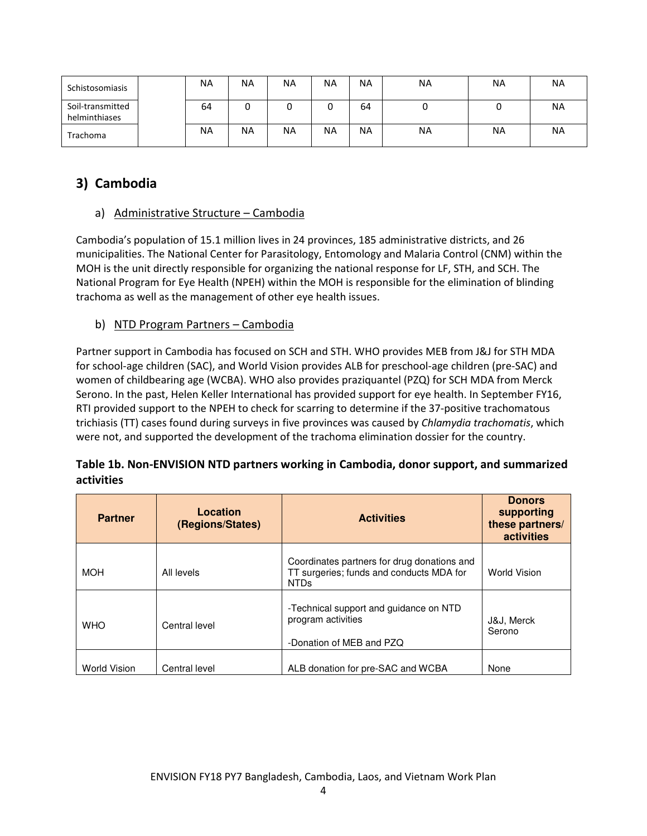| Schistosomiasis                   | <b>NA</b> | ΝA | <b>NA</b> | <b>NA</b> | <b>NA</b> | <b>NA</b> | ΝA | ΝA |
|-----------------------------------|-----------|----|-----------|-----------|-----------|-----------|----|----|
| Soil-transmitted<br>helminthiases | 64        | U  |           | υ         | 64        | υ         | ◟  | NA |
| Trachoma                          | <b>NA</b> | ΝA | <b>NA</b> | <b>NA</b> | <b>NA</b> | <b>NA</b> | ΝA | NA |

## 3) Cambodia

## a) Administrative Structure – Cambodia

Cambodia's population of 15.1 million lives in 24 provinces, 185 administrative districts, and 26 municipalities. The National Center for Parasitology, Entomology and Malaria Control (CNM) within the MOH is the unit directly responsible for organizing the national response for LF, STH, and SCH. The National Program for Eye Health (NPEH) within the MOH is responsible for the elimination of blinding trachoma as well as the management of other eye health issues.

## b) NTD Program Partners – Cambodia

Partner support in Cambodia has focused on SCH and STH. WHO provides MEB from J&J for STH MDA for school-age children (SAC), and World Vision provides ALB for preschool-age children (pre-SAC) and women of childbearing age (WCBA). WHO also provides praziquantel (PZQ) for SCH MDA from Merck Serono. In the past, Helen Keller International has provided support for eye health. In September FY16, RTI provided support to the NPEH to check for scarring to determine if the 37-positive trachomatous trichiasis (TT) cases found during surveys in five provinces was caused by Chlamydia trachomatis, which were not, and supported the development of the trachoma elimination dossier for the country.

## Table 1b. Non-ENVISION NTD partners working in Cambodia, donor support, and summarized activities

| <b>Partner</b> | Location<br>(Regions/States) | <b>Activities</b><br>these partners/                                                                   |                      |  |  |
|----------------|------------------------------|--------------------------------------------------------------------------------------------------------|----------------------|--|--|
| <b>MOH</b>     | All levels                   | Coordinates partners for drug donations and<br>TT surgeries; funds and conducts MDA for<br><b>NTDs</b> | <b>World Vision</b>  |  |  |
| <b>WHO</b>     | Central level                | -Technical support and guidance on NTD<br>program activities<br>-Donation of MEB and PZQ               | J&J, Merck<br>Serono |  |  |
| World Vision   | Central level                | ALB donation for pre-SAC and WCBA                                                                      | None                 |  |  |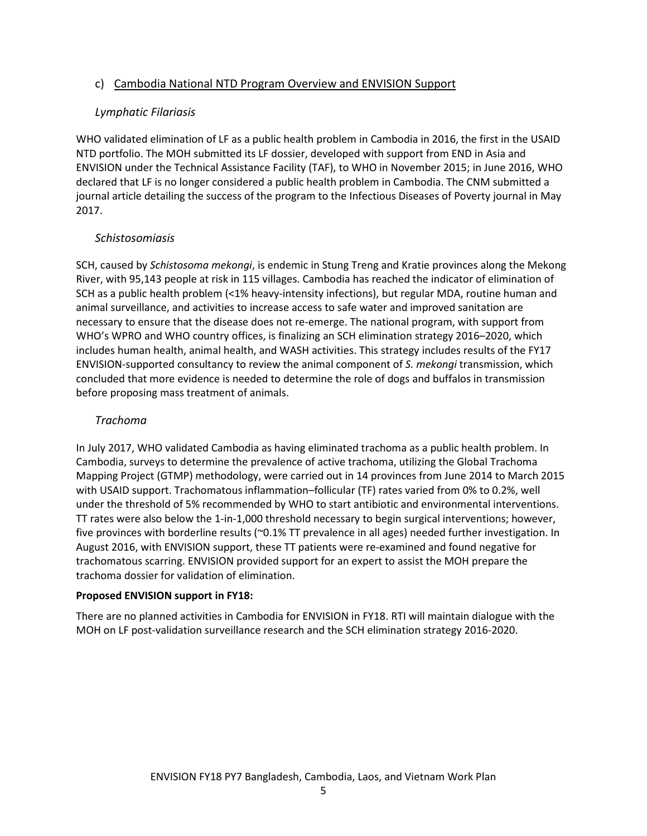## c) Cambodia National NTD Program Overview and ENVISION Support

## Lymphatic Filariasis

WHO validated elimination of LF as a public health problem in Cambodia in 2016, the first in the USAID NTD portfolio. The MOH submitted its LF dossier, developed with support from END in Asia and ENVISION under the Technical Assistance Facility (TAF), to WHO in November 2015; in June 2016, WHO declared that LF is no longer considered a public health problem in Cambodia. The CNM submitted a journal article detailing the success of the program to the Infectious Diseases of Poverty journal in May 2017.

## Schistosomiasis

SCH, caused by Schistosoma mekongi, is endemic in Stung Treng and Kratie provinces along the Mekong River, with 95,143 people at risk in 115 villages. Cambodia has reached the indicator of elimination of SCH as a public health problem (<1% heavy-intensity infections), but regular MDA, routine human and animal surveillance, and activities to increase access to safe water and improved sanitation are necessary to ensure that the disease does not re-emerge. The national program, with support from WHO's WPRO and WHO country offices, is finalizing an SCH elimination strategy 2016–2020, which includes human health, animal health, and WASH activities. This strategy includes results of the FY17 ENVISION-supported consultancy to review the animal component of S. mekongi transmission, which concluded that more evidence is needed to determine the role of dogs and buffalos in transmission before proposing mass treatment of animals.

## Trachoma

In July 2017, WHO validated Cambodia as having eliminated trachoma as a public health problem. In Cambodia, surveys to determine the prevalence of active trachoma, utilizing the Global Trachoma Mapping Project (GTMP) methodology, were carried out in 14 provinces from June 2014 to March 2015 with USAID support. Trachomatous inflammation–follicular (TF) rates varied from 0% to 0.2%, well under the threshold of 5% recommended by WHO to start antibiotic and environmental interventions. TT rates were also below the 1-in-1,000 threshold necessary to begin surgical interventions; however, five provinces with borderline results (~0.1% TT prevalence in all ages) needed further investigation. In August 2016, with ENVISION support, these TT patients were re-examined and found negative for trachomatous scarring. ENVISION provided support for an expert to assist the MOH prepare the trachoma dossier for validation of elimination.

## Proposed ENVISION support in FY18:

There are no planned activities in Cambodia for ENVISION in FY18. RTI will maintain dialogue with the MOH on LF post-validation surveillance research and the SCH elimination strategy 2016-2020.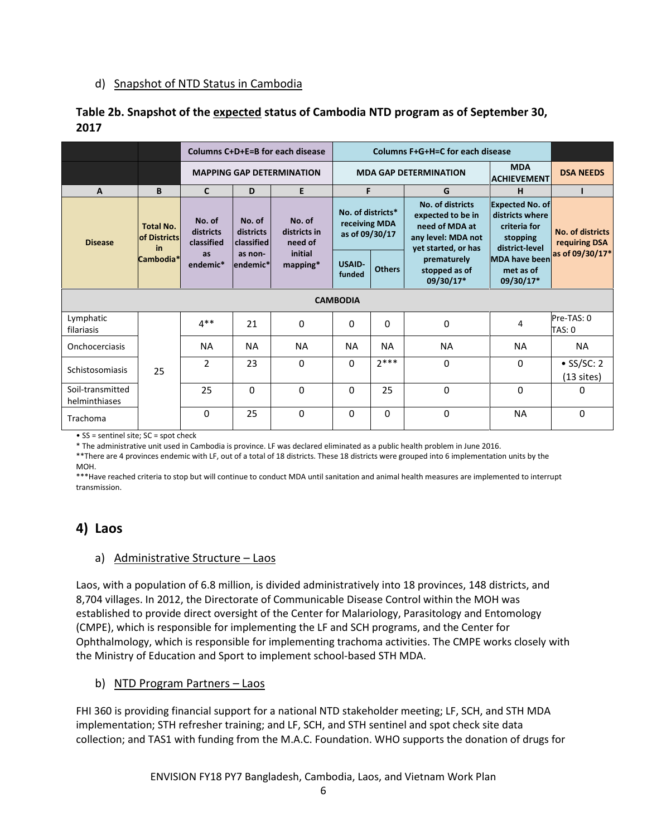## d) Snapshot of NTD Status in Cambodia

## Table 2b. Snapshot of the expected status of Cambodia NTD program as of September 30, 2017

|                                   |                                                            |                                   | Columns C+D+E=B for each disease  | Columns F+G+H=C for each disease  |                                                      |                                                                                                      |                                           |                                                                                         |                                    |
|-----------------------------------|------------------------------------------------------------|-----------------------------------|-----------------------------------|-----------------------------------|------------------------------------------------------|------------------------------------------------------------------------------------------------------|-------------------------------------------|-----------------------------------------------------------------------------------------|------------------------------------|
|                                   |                                                            |                                   |                                   | <b>MAPPING GAP DETERMINATION</b>  | <b>MDA GAP DETERMINATION</b>                         |                                                                                                      |                                           | <b>MDA</b><br><b>ACHIEVEMENT</b>                                                        | <b>DSA NEEDS</b>                   |
| $\mathbf{A}$                      | B                                                          | $\mathsf{C}$                      | D                                 | E                                 | F.                                                   |                                                                                                      | G                                         | н                                                                                       |                                    |
| <b>Disease</b>                    | <b>Total No.</b><br><b>of Districts</b><br>in<br>Cambodia* | No. of<br>districts<br>classified | No. of<br>districts<br>classified | No. of<br>districts in<br>need of | No. of districts*<br>receiving MDA<br>as of 09/30/17 | No. of districts<br>expected to be in<br>need of MDA at<br>any level: MDA not<br>yet started, or has |                                           | <b>Expected No. of</b><br>districts where<br>criteria for<br>stopping<br>district-level | No. of districts<br>requiring DSA  |
|                                   |                                                            | <b>as</b><br>endemic*             | as non-<br>lendemic*l             | initial<br>$mapping*$             | <b>USAID-</b><br>funded                              | <b>Others</b>                                                                                        | prematurely<br>stopped as of<br>09/30/17* | <b>MDA</b> have been<br>met as of<br>09/30/17*                                          | as of 09/30/17*                    |
|                                   |                                                            |                                   |                                   |                                   | <b>CAMBODIA</b>                                      |                                                                                                      |                                           |                                                                                         |                                    |
| Lymphatic<br>filariasis           |                                                            | $4**$                             | 21                                | 0                                 | $\Omega$                                             | 0                                                                                                    | 0                                         | 4                                                                                       | Pre-TAS: 0<br>TAS: 0               |
| Onchocerciasis                    |                                                            | <b>NA</b>                         | <b>NA</b>                         | <b>NA</b>                         | <b>NA</b>                                            | <b>NA</b>                                                                                            | <b>NA</b>                                 | ΝA                                                                                      | <b>NA</b>                          |
| Schistosomiasis                   | 25                                                         | $\mathfrak{p}$                    | 23                                | 0                                 | $\mathbf{0}$                                         | $7***$                                                                                               | 0                                         | $\mathbf 0$                                                                             | $\bullet$ SS/SC: 2<br>$(13$ sites) |
| Soil-transmitted<br>helminthiases |                                                            | 25                                | $\Omega$                          | $\mathbf{0}$                      | $\Omega$                                             | 25                                                                                                   | $\Omega$                                  | $\Omega$                                                                                | 0                                  |
| Trachoma                          |                                                            | 0                                 | 25                                | $\Omega$                          | $\Omega$                                             | 0                                                                                                    | $\Omega$                                  | <b>NA</b>                                                                               | $\Omega$                           |

• SS = sentinel site; SC = spot check

\* The administrative unit used in Cambodia is province. LF was declared eliminated as a public health problem in June 2016.

\*\*There are 4 provinces endemic with LF, out of a total of 18 districts. These 18 districts were grouped into 6 implementation units by the MOH.

\*\*\*Have reached criteria to stop but will continue to conduct MDA until sanitation and animal health measures are implemented to interrupt transmission.

## 4) Laos

## a) Administrative Structure – Laos

Laos, with a population of 6.8 million, is divided administratively into 18 provinces, 148 districts, and 8,704 villages. In 2012, the Directorate of Communicable Disease Control within the MOH was established to provide direct oversight of the Center for Malariology, Parasitology and Entomology (CMPE), which is responsible for implementing the LF and SCH programs, and the Center for Ophthalmology, which is responsible for implementing trachoma activities. The CMPE works closely with the Ministry of Education and Sport to implement school-based STH MDA.

## b) NTD Program Partners - Laos

FHI 360 is providing financial support for a national NTD stakeholder meeting; LF, SCH, and STH MDA implementation; STH refresher training; and LF, SCH, and STH sentinel and spot check site data collection; and TAS1 with funding from the M.A.C. Foundation. WHO supports the donation of drugs for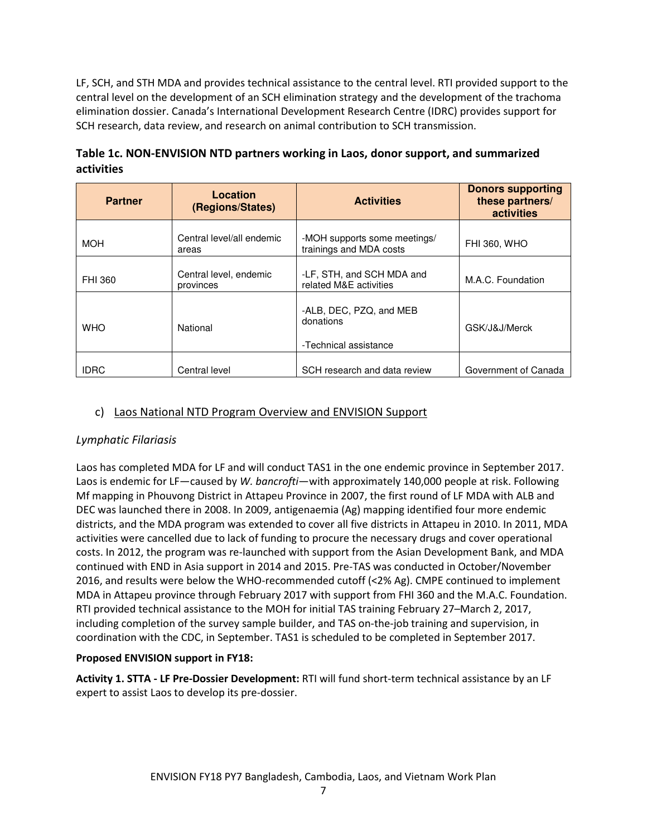LF, SCH, and STH MDA and provides technical assistance to the central level. RTI provided support to the central level on the development of an SCH elimination strategy and the development of the trachoma elimination dossier. Canada's International Development Research Centre (IDRC) provides support for SCH research, data review, and research on animal contribution to SCH transmission.

| <b>Partner</b> | Location<br>(Regions/States)        | <b>Activities</b>                                             | <b>Donors supporting</b><br>these partners/<br>activities |
|----------------|-------------------------------------|---------------------------------------------------------------|-----------------------------------------------------------|
| <b>MOH</b>     | Central level/all endemic<br>areas  | -MOH supports some meetings/<br>trainings and MDA costs       | <b>FHI 360, WHO</b>                                       |
| FHI 360        | Central level, endemic<br>provinces | -LF, STH, and SCH MDA and<br>related M&E activities           | M.A.C. Foundation                                         |
| <b>WHO</b>     | National                            | -ALB, DEC, PZQ, and MEB<br>donations<br>-Technical assistance | GSK/J&J/Merck                                             |
| <b>IDRC</b>    | Central level                       | SCH research and data review                                  | Government of Canada                                      |

## Table 1c. NON-ENVISION NTD partners working in Laos, donor support, and summarized activities

## c) Laos National NTD Program Overview and ENVISION Support

## Lymphatic Filariasis

Laos has completed MDA for LF and will conduct TAS1 in the one endemic province in September 2017. Laos is endemic for LF—caused by W. bancrofti—with approximately 140,000 people at risk. Following Mf mapping in Phouvong District in Attapeu Province in 2007, the first round of LF MDA with ALB and DEC was launched there in 2008. In 2009, antigenaemia (Ag) mapping identified four more endemic districts, and the MDA program was extended to cover all five districts in Attapeu in 2010. In 2011, MDA activities were cancelled due to lack of funding to procure the necessary drugs and cover operational costs. In 2012, the program was re-launched with support from the Asian Development Bank, and MDA continued with END in Asia support in 2014 and 2015. Pre-TAS was conducted in October/November 2016, and results were below the WHO-recommended cutoff (<2% Ag). CMPE continued to implement MDA in Attapeu province through February 2017 with support from FHI 360 and the M.A.C. Foundation. RTI provided technical assistance to the MOH for initial TAS training February 27–March 2, 2017, including completion of the survey sample builder, and TAS on-the-job training and supervision, in coordination with the CDC, in September. TAS1 is scheduled to be completed in September 2017.

## Proposed ENVISION support in FY18:

Activity 1. STTA - LF Pre-Dossier Development: RTI will fund short-term technical assistance by an LF expert to assist Laos to develop its pre-dossier.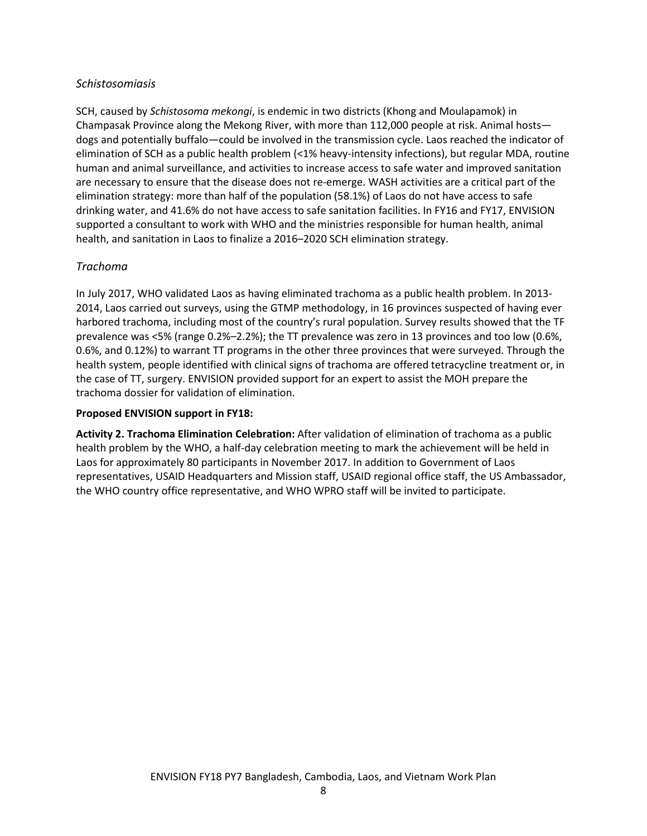## Schistosomiasis

SCH, caused by Schistosoma mekongi, is endemic in two districts (Khong and Moulapamok) in Champasak Province along the Mekong River, with more than 112,000 people at risk. Animal hosts dogs and potentially buffalo—could be involved in the transmission cycle. Laos reached the indicator of elimination of SCH as a public health problem (<1% heavy-intensity infections), but regular MDA, routine human and animal surveillance, and activities to increase access to safe water and improved sanitation are necessary to ensure that the disease does not re-emerge. WASH activities are a critical part of the elimination strategy: more than half of the population (58.1%) of Laos do not have access to safe drinking water, and 41.6% do not have access to safe sanitation facilities. In FY16 and FY17, ENVISION supported a consultant to work with WHO and the ministries responsible for human health, animal health, and sanitation in Laos to finalize a 2016–2020 SCH elimination strategy.

## Trachoma

In July 2017, WHO validated Laos as having eliminated trachoma as a public health problem. In 2013- 2014, Laos carried out surveys, using the GTMP methodology, in 16 provinces suspected of having ever harbored trachoma, including most of the country's rural population. Survey results showed that the TF prevalence was <5% (range 0.2%–2.2%); the TT prevalence was zero in 13 provinces and too low (0.6%, 0.6%, and 0.12%) to warrant TT programs in the other three provinces that were surveyed. Through the health system, people identified with clinical signs of trachoma are offered tetracycline treatment or, in the case of TT, surgery. ENVISION provided support for an expert to assist the MOH prepare the trachoma dossier for validation of elimination.

#### Proposed ENVISION support in FY18:

Activity 2. Trachoma Elimination Celebration: After validation of elimination of trachoma as a public health problem by the WHO, a half-day celebration meeting to mark the achievement will be held in Laos for approximately 80 participants in November 2017. In addition to Government of Laos representatives, USAID Headquarters and Mission staff, USAID regional office staff, the US Ambassador, the WHO country office representative, and WHO WPRO staff will be invited to participate.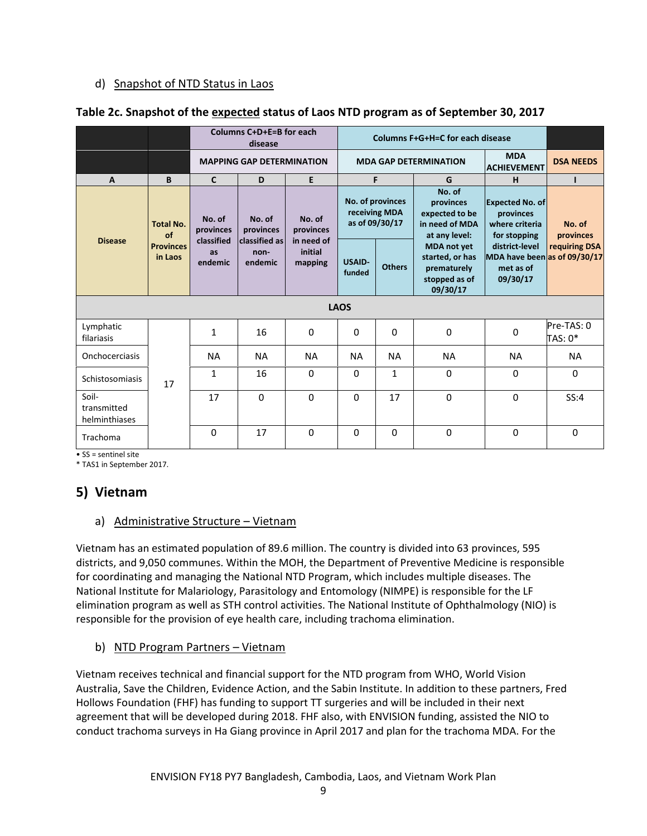## d) Snapshot of NTD Status in Laos

|                                       |                                                       |                                   | Columns C+D+E=B for each                    | <b>Columns F+G+H=C for each disease</b> |                         |                                                     |                                                                                   |                                                                         |                       |
|---------------------------------------|-------------------------------------------------------|-----------------------------------|---------------------------------------------|-----------------------------------------|-------------------------|-----------------------------------------------------|-----------------------------------------------------------------------------------|-------------------------------------------------------------------------|-----------------------|
|                                       |                                                       |                                   | <b>MAPPING GAP DETERMINATION</b>            |                                         |                         |                                                     | <b>MDA GAP DETERMINATION</b>                                                      | <b>MDA</b><br><b>ACHIEVEMENT</b>                                        | <b>DSA NEEDS</b>      |
| $\mathsf{A}$                          | B                                                     | $\mathsf{C}$                      | D                                           | E                                       |                         | F                                                   | G                                                                                 | H                                                                       |                       |
|                                       | <b>Total No.</b><br>of<br><b>Provinces</b><br>in Laos | No. of<br>provinces<br>classified | No. of<br>provinces<br><b>classified as</b> | No. of<br>provinces<br>in need of       |                         | No. of provinces<br>receiving MDA<br>as of 09/30/17 | No. of<br>provinces<br>expected to be<br>in need of MDA<br>at any level:          | <b>Expected No. of</b><br>provinces<br>where criteria<br>for stopping   | No. of<br>provinces   |
| <b>Disease</b>                        |                                                       | as<br>endemic                     | non-<br>endemic                             | initial<br>mapping                      | <b>USAID-</b><br>funded | <b>Others</b>                                       | <b>MDA</b> not yet<br>started, or has<br>prematurely<br>stopped as of<br>09/30/17 | district-level<br>MDA have been as of 09/30/17<br>met as of<br>09/30/17 | requiring DSA         |
|                                       |                                                       |                                   |                                             |                                         | <b>LAOS</b>             |                                                     |                                                                                   |                                                                         |                       |
| Lymphatic<br>filariasis               |                                                       | $\mathbf{1}$                      | 16                                          | $\Omega$                                | $\Omega$                | $\Omega$                                            | 0                                                                                 | 0                                                                       | Pre-TAS: 0<br>TAS: 0* |
| Onchocerciasis                        |                                                       | <b>NA</b>                         | <b>NA</b>                                   | <b>NA</b>                               | <b>NA</b>               | <b>NA</b>                                           | <b>NA</b>                                                                         | <b>NA</b>                                                               | <b>NA</b>             |
| Schistosomiasis                       | 17                                                    | $\mathbf{1}$                      | 16                                          | $\Omega$                                | $\Omega$                | $\mathbf{1}$                                        | $\Omega$                                                                          | $\mathbf 0$                                                             | $\Omega$              |
| Soil-<br>transmitted<br>helminthiases |                                                       | 17                                | $\Omega$                                    | $\Omega$                                | $\Omega$                | 17                                                  | $\Omega$                                                                          | $\Omega$                                                                | SS:4                  |
| Trachoma                              |                                                       | 0                                 | 17                                          | $\Omega$                                | $\Omega$                | 0                                                   | $\mathbf 0$                                                                       | 0                                                                       | 0                     |

#### Table 2c. Snapshot of the expected status of Laos NTD program as of September 30, 2017

• SS = sentinel site

\* TAS1 in September 2017.

## 5) Vietnam

## a) Administrative Structure - Vietnam

Vietnam has an estimated population of 89.6 million. The country is divided into 63 provinces, 595 districts, and 9,050 communes. Within the MOH, the Department of Preventive Medicine is responsible for coordinating and managing the National NTD Program, which includes multiple diseases. The National Institute for Malariology, Parasitology and Entomology (NIMPE) is responsible for the LF elimination program as well as STH control activities. The National Institute of Ophthalmology (NIO) is responsible for the provision of eye health care, including trachoma elimination.

## b) NTD Program Partners – Vietnam

Vietnam receives technical and financial support for the NTD program from WHO, World Vision Australia, Save the Children, Evidence Action, and the Sabin Institute. In addition to these partners, Fred Hollows Foundation (FHF) has funding to support TT surgeries and will be included in their next agreement that will be developed during 2018. FHF also, with ENVISION funding, assisted the NIO to conduct trachoma surveys in Ha Giang province in April 2017 and plan for the trachoma MDA. For the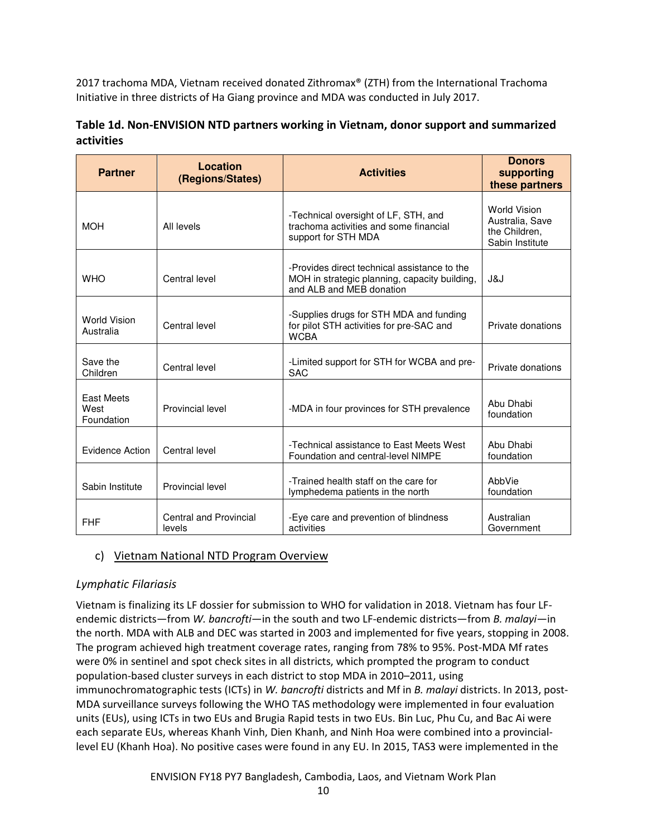2017 trachoma MDA, Vietnam received donated Zithromax® (ZTH) from the International Trachoma Initiative in three districts of Ha Giang province and MDA was conducted in July 2017.

## Table 1d. Non-ENVISION NTD partners working in Vietnam, donor support and summarized activities

| <b>Partner</b>                          | Location<br>(Regions/States)            | <b>Activities</b>                                                                                                         | <b>Donors</b><br>supporting<br>these partners                              |
|-----------------------------------------|-----------------------------------------|---------------------------------------------------------------------------------------------------------------------------|----------------------------------------------------------------------------|
| <b>MOH</b>                              | All levels                              | -Technical oversight of LF, STH, and<br>trachoma activities and some financial<br>support for STH MDA                     | <b>World Vision</b><br>Australia, Save<br>the Children,<br>Sabin Institute |
| <b>WHO</b>                              | Central level                           | -Provides direct technical assistance to the<br>MOH in strategic planning, capacity building,<br>and ALB and MEB donation | J&J                                                                        |
| <b>World Vision</b><br>Australia        | Central level                           | -Supplies drugs for STH MDA and funding<br>for pilot STH activities for pre-SAC and<br><b>WCBA</b>                        | Private donations                                                          |
| Save the<br>Children                    | Central level                           | -Limited support for STH for WCBA and pre-<br><b>SAC</b>                                                                  | Private donations                                                          |
| <b>East Meets</b><br>West<br>Foundation | Provincial level                        | -MDA in four provinces for STH prevalence                                                                                 | Abu Dhabi<br>foundation                                                    |
| Evidence Action                         | Central level                           | -Technical assistance to East Meets West<br>Foundation and central-level NIMPE                                            | Abu Dhabi<br>foundation                                                    |
| Sabin Institute                         | Provincial level                        | -Trained health staff on the care for<br>lymphedema patients in the north                                                 | AbbVie<br>foundation                                                       |
| <b>FHF</b>                              | <b>Central and Provincial</b><br>levels | -Eye care and prevention of blindness<br>activities                                                                       | Australian<br>Government                                                   |

## c) Vietnam National NTD Program Overview

## Lymphatic Filariasis

Vietnam is finalizing its LF dossier for submission to WHO for validation in 2018. Vietnam has four LFendemic districts—from W. bancrofti—in the south and two LF-endemic districts—from B. malayi—in the north. MDA with ALB and DEC was started in 2003 and implemented for five years, stopping in 2008. The program achieved high treatment coverage rates, ranging from 78% to 95%. Post-MDA Mf rates were 0% in sentinel and spot check sites in all districts, which prompted the program to conduct population-based cluster surveys in each district to stop MDA in 2010–2011, using immunochromatographic tests (ICTs) in W. bancrofti districts and Mf in B. malayi districts. In 2013, post-MDA surveillance surveys following the WHO TAS methodology were implemented in four evaluation units (EUs), using ICTs in two EUs and Brugia Rapid tests in two EUs. Bin Luc, Phu Cu, and Bac Ai were each separate EUs, whereas Khanh Vinh, Dien Khanh, and Ninh Hoa were combined into a provinciallevel EU (Khanh Hoa). No positive cases were found in any EU. In 2015, TAS3 were implemented in the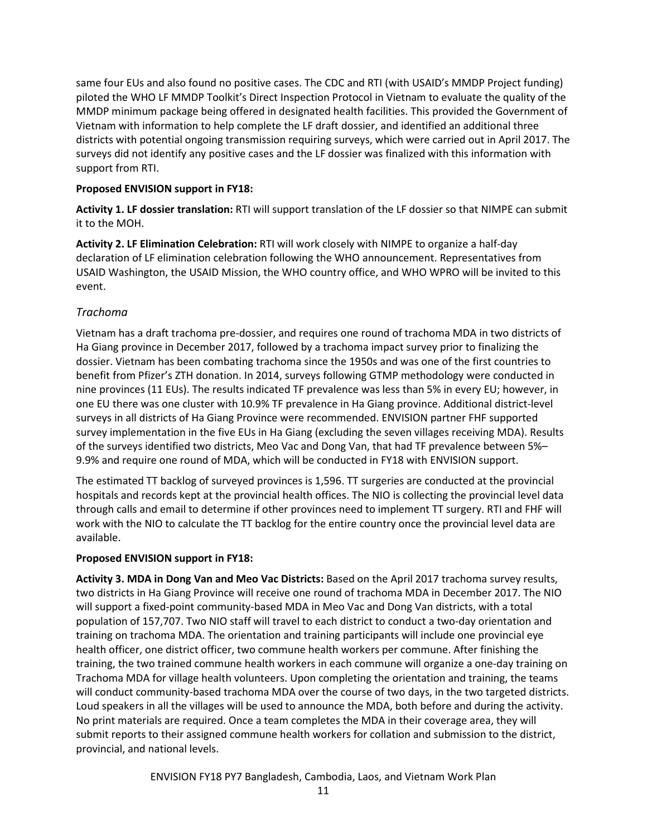same four EUs and also found no positive cases. The CDC and RTI (with USAID's MMDP Project funding) piloted the WHO LF MMDP Toolkit's Direct Inspection Protocol in Vietnam to evaluate the quality of the MMDP minimum package being offered in designated health facilities. This provided the Government of Vietnam with information to help complete the LF draft dossier, and identified an additional three districts with potential ongoing transmission requiring surveys, which were carried out in April 2017. The surveys did not identify any positive cases and the LF dossier was finalized with this information with support from RTI.

#### Proposed ENVISION support in FY18:

Activity 1. LF dossier translation: RTI will support translation of the LF dossier so that NIMPE can submit it to the MOH.

Activity 2. LF Elimination Celebration: RTI will work closely with NIMPE to organize a half-day declaration of LF elimination celebration following the WHO announcement. Representatives from USAID Washington, the USAID Mission, the WHO country office, and WHO WPRO will be invited to this event.

#### Trachoma

Vietnam has a draft trachoma pre-dossier, and requires one round of trachoma MDA in two districts of Ha Giang province in December 2017, followed by a trachoma impact survey prior to finalizing the dossier. Vietnam has been combating trachoma since the 1950s and was one of the first countries to benefit from Pfizer's ZTH donation. In 2014, surveys following GTMP methodology were conducted in nine provinces (11 EUs). The results indicated TF prevalence was less than 5% in every EU; however, in one EU there was one cluster with 10.9% TF prevalence in Ha Giang province. Additional district-level surveys in all districts of Ha Giang Province were recommended. ENVISION partner FHF supported survey implementation in the five EUs in Ha Giang (excluding the seven villages receiving MDA). Results of the surveys identified two districts, Meo Vac and Dong Van, that had TF prevalence between 5%– 9.9% and require one round of MDA, which will be conducted in FY18 with ENVISION support.

The estimated TT backlog of surveyed provinces is 1,596. TT surgeries are conducted at the provincial hospitals and records kept at the provincial health offices. The NIO is collecting the provincial level data through calls and email to determine if other provinces need to implement TT surgery. RTI and FHF will work with the NIO to calculate the TT backlog for the entire country once the provincial level data are available.

#### Proposed ENVISION support in FY18:

Activity 3. MDA in Dong Van and Meo Vac Districts: Based on the April 2017 trachoma survey results, two districts in Ha Giang Province will receive one round of trachoma MDA in December 2017. The NIO will support a fixed-point community-based MDA in Meo Vac and Dong Van districts, with a total population of 157,707. Two NIO staff will travel to each district to conduct a two-day orientation and training on trachoma MDA. The orientation and training participants will include one provincial eye health officer, one district officer, two commune health workers per commune. After finishing the training, the two trained commune health workers in each commune will organize a one-day training on Trachoma MDA for village health volunteers. Upon completing the orientation and training, the teams will conduct community-based trachoma MDA over the course of two days, in the two targeted districts. Loud speakers in all the villages will be used to announce the MDA, both before and during the activity. No print materials are required. Once a team completes the MDA in their coverage area, they will submit reports to their assigned commune health workers for collation and submission to the district, provincial, and national levels.

ENVISION FY18 PY7 Bangladesh, Cambodia, Laos, and Vietnam Work Plan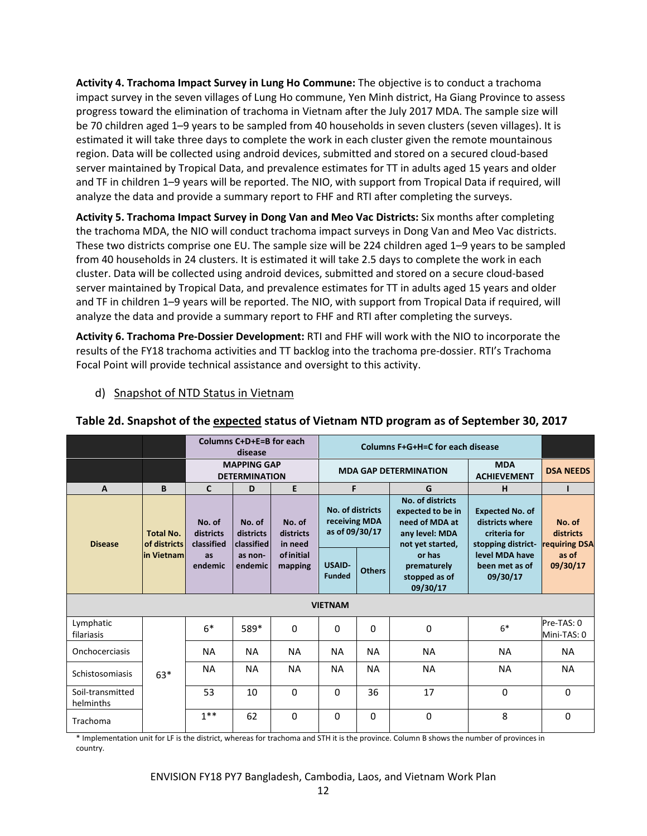Activity 4. Trachoma Impact Survey in Lung Ho Commune: The objective is to conduct a trachoma impact survey in the seven villages of Lung Ho commune, Yen Minh district, Ha Giang Province to assess progress toward the elimination of trachoma in Vietnam after the July 2017 MDA. The sample size will be 70 children aged 1–9 years to be sampled from 40 households in seven clusters (seven villages). It is estimated it will take three days to complete the work in each cluster given the remote mountainous region. Data will be collected using android devices, submitted and stored on a secured cloud-based server maintained by Tropical Data, and prevalence estimates for TT in adults aged 15 years and older and TF in children 1–9 years will be reported. The NIO, with support from Tropical Data if required, will analyze the data and provide a summary report to FHF and RTI after completing the surveys.

Activity 5. Trachoma Impact Survey in Dong Van and Meo Vac Districts: Six months after completing the trachoma MDA, the NIO will conduct trachoma impact surveys in Dong Van and Meo Vac districts. These two districts comprise one EU. The sample size will be 224 children aged 1–9 years to be sampled from 40 households in 24 clusters. It is estimated it will take 2.5 days to complete the work in each cluster. Data will be collected using android devices, submitted and stored on a secure cloud-based server maintained by Tropical Data, and prevalence estimates for TT in adults aged 15 years and older and TF in children 1–9 years will be reported. The NIO, with support from Tropical Data if required, will analyze the data and provide a summary report to FHF and RTI after completing the surveys.

Activity 6. Trachoma Pre-Dossier Development: RTI and FHF will work with the NIO to incorporate the results of the FY18 trachoma activities and TT backlog into the trachoma pre-dossier. RTI's Trachoma Focal Point will provide technical assistance and oversight to this activity.

## d) Snapshot of NTD Status in Vietnam

|                               |                                                 |                                   | Columns C+D+E=B for each                   | <b>Columns F+G+H=C for each disease</b> |                                                     |               |                                                                                               |                                                                                 |                                      |
|-------------------------------|-------------------------------------------------|-----------------------------------|--------------------------------------------|-----------------------------------------|-----------------------------------------------------|---------------|-----------------------------------------------------------------------------------------------|---------------------------------------------------------------------------------|--------------------------------------|
|                               |                                                 |                                   | <b>MAPPING GAP</b><br><b>DETERMINATION</b> |                                         |                                                     |               | <b>MDA GAP DETERMINATION</b>                                                                  | <b>MDA</b><br><b>ACHIEVEMENT</b>                                                | <b>DSA NEEDS</b>                     |
| $\mathbf{A}$                  | B                                               | C                                 | D                                          | E                                       | F                                                   |               | G                                                                                             | н                                                                               |                                      |
| <b>Disease</b>                | <b>Total No.</b><br>of districts<br>in Vietnaml | No. of<br>districts<br>classified | No. of<br>districts<br>classified          | No. of<br>districts<br>in need          | No. of districts<br>receiving MDA<br>as of 09/30/17 |               | No. of districts<br>expected to be in<br>need of MDA at<br>any level: MDA<br>not yet started, | <b>Expected No. of</b><br>districts where<br>criteria for<br>stopping district- | No. of<br>districts<br>requiring DSA |
|                               |                                                 | <b>as</b><br>endemic              | as non-<br>endemic                         | ofinitial<br>mapping                    | <b>USAID-</b><br><b>Funded</b>                      | <b>Others</b> | or has<br>prematurely<br>stopped as of<br>09/30/17                                            | level MDA have<br>been met as of<br>09/30/17                                    | as of<br>09/30/17                    |
|                               |                                                 |                                   |                                            |                                         | <b>VIETNAM</b>                                      |               |                                                                                               |                                                                                 |                                      |
| Lymphatic<br>filariasis       |                                                 | $6*$                              | 589*                                       | $\mathbf 0$                             | 0                                                   | $\Omega$      | 0                                                                                             | $6*$                                                                            | Pre-TAS: 0<br>Mini-TAS: 0            |
| Onchocerciasis                |                                                 | <b>NA</b>                         | <b>NA</b>                                  | <b>NA</b>                               | <b>NA</b>                                           | <b>NA</b>     | <b>NA</b>                                                                                     | <b>NA</b>                                                                       | <b>NA</b>                            |
| Schistosomiasis               | $63*$                                           | <b>NA</b>                         | <b>NA</b>                                  | <b>NA</b>                               | <b>NA</b>                                           | <b>NA</b>     | <b>NA</b>                                                                                     | <b>NA</b>                                                                       | <b>NA</b>                            |
| Soil-transmitted<br>helminths |                                                 | 53                                | 10                                         | $\Omega$                                | $\Omega$                                            | 36            | 17                                                                                            | $\Omega$                                                                        | $\Omega$                             |
| Trachoma                      |                                                 | $1***$                            | 62                                         | $\Omega$                                | $\Omega$                                            | $\Omega$      | 0                                                                                             | 8                                                                               | $\Omega$                             |

## Table 2d. Snapshot of the expected status of Vietnam NTD program as of September 30, 2017

\* Implementation unit for LF is the district, whereas for trachoma and STH it is the province. Column B shows the number of provinces in country.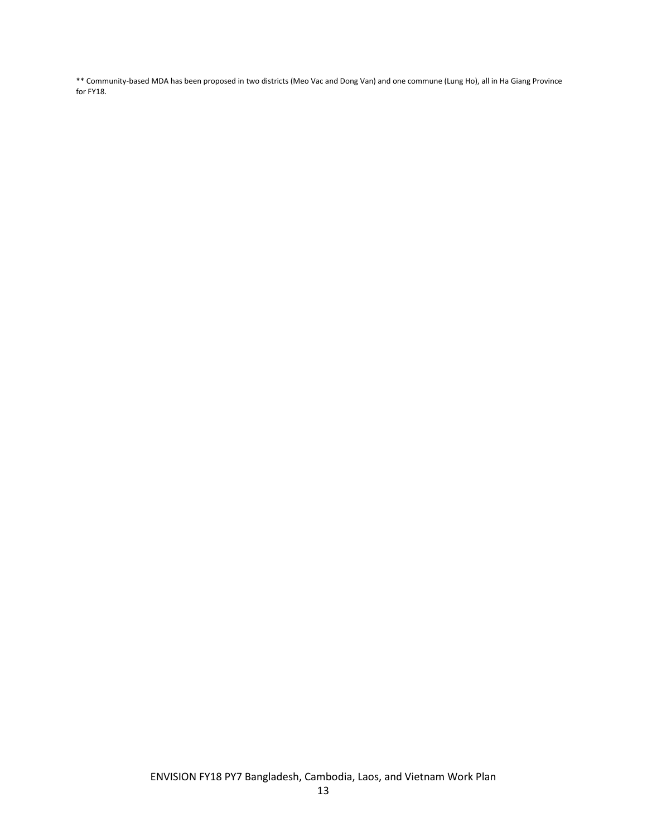\*\* Community-based MDA has been proposed in two districts (Meo Vac and Dong Van) and one commune (Lung Ho), all in Ha Giang Province for FY18.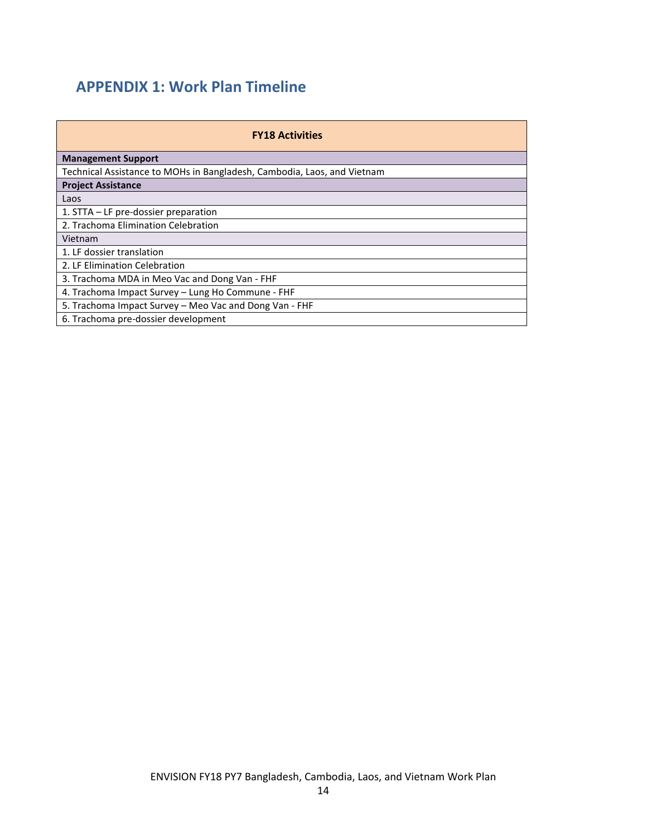## APPENDIX 1: Work Plan Timeline

| <b>FY18 Activities</b>                                                  |  |  |  |  |  |  |  |  |  |  |  |
|-------------------------------------------------------------------------|--|--|--|--|--|--|--|--|--|--|--|
| <b>Management Support</b>                                               |  |  |  |  |  |  |  |  |  |  |  |
| Technical Assistance to MOHs in Bangladesh, Cambodia, Laos, and Vietnam |  |  |  |  |  |  |  |  |  |  |  |
| <b>Project Assistance</b>                                               |  |  |  |  |  |  |  |  |  |  |  |
| Laos                                                                    |  |  |  |  |  |  |  |  |  |  |  |
| 1. STTA $-$ LF pre-dossier preparation                                  |  |  |  |  |  |  |  |  |  |  |  |
| 2. Trachoma Elimination Celebration                                     |  |  |  |  |  |  |  |  |  |  |  |
| Vietnam                                                                 |  |  |  |  |  |  |  |  |  |  |  |
| 1. LF dossier translation                                               |  |  |  |  |  |  |  |  |  |  |  |
| 2. LF Elimination Celebration                                           |  |  |  |  |  |  |  |  |  |  |  |
| 3. Trachoma MDA in Meo Vac and Dong Van - FHF                           |  |  |  |  |  |  |  |  |  |  |  |
| 4. Trachoma Impact Survey - Lung Ho Commune - FHF                       |  |  |  |  |  |  |  |  |  |  |  |
| 5. Trachoma Impact Survey – Meo Vac and Dong Van - FHF                  |  |  |  |  |  |  |  |  |  |  |  |
| 6. Trachoma pre-dossier development                                     |  |  |  |  |  |  |  |  |  |  |  |